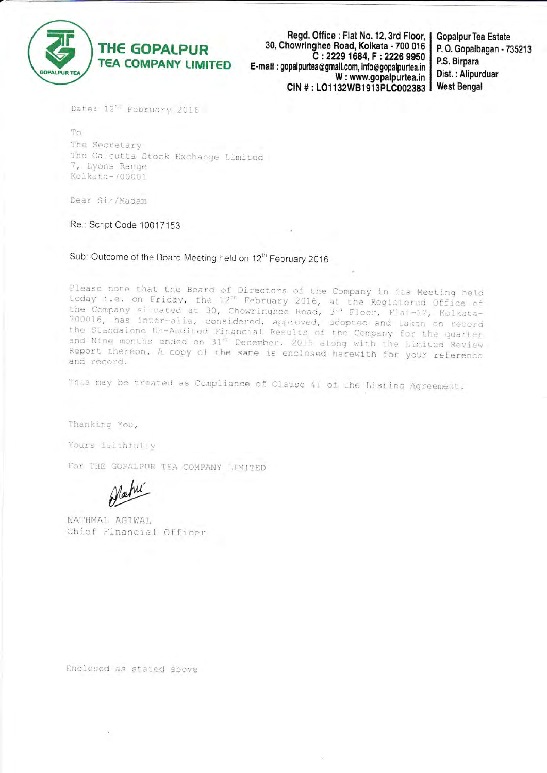

Regd. Office : Flat No. 12, 3rd Floor, | 30, Chowringhee Road, Kolkata - 700 016 C: 2229 1684, F: 2226 9950 E-mail: gopalpurtea@gmail.com. info@gopalpurtea.in W: www.gopalpurtea.in CIN #: LO1132WB1913PLC002383

**Gopalpur Tea Estate** P.O. Gopalbagan - 735213 P.S. Birpara Dist.: Alipurduar **West Bengal** 

Date: 12" February 2016

To The Secretary The Calcutta Stock Exchange Limited 7, Lyons Range Kolkata-700001

Dear Sir/Madam

Re.: Script Code 10017153

Sub:-Outcome of the Board Meeting held on 12<sup>th</sup> February 2016

Please note that the Board of Directors of the Company in its Meeting held today i.e. on Friday, the 12<sup>th</sup> February 2016, at the Registered Office of<br>the Company situated at 30, Chowringhee Road, 3<sup>13</sup> Floor, Flat-12, Kolkata-700016, has inter-alia, considered, approved, adopted and taken on record the Standalone Un-Audited Financial Results of the Company for the quarter and Nine months ended on 31<sup>8</sup> December, 2015 along with the Limited Review Report thereon. A copy of the same is enclosed herewith for your reference and record.

This may be treated as Compliance of Clause 41 of the Listing Agreement.

Thanking You,

Yours faithfully

For THE GOPALPUR TEA COMPANY LIMITED

NATHMAL AGIWAL Chief Financial Officer

Enclosed as stated above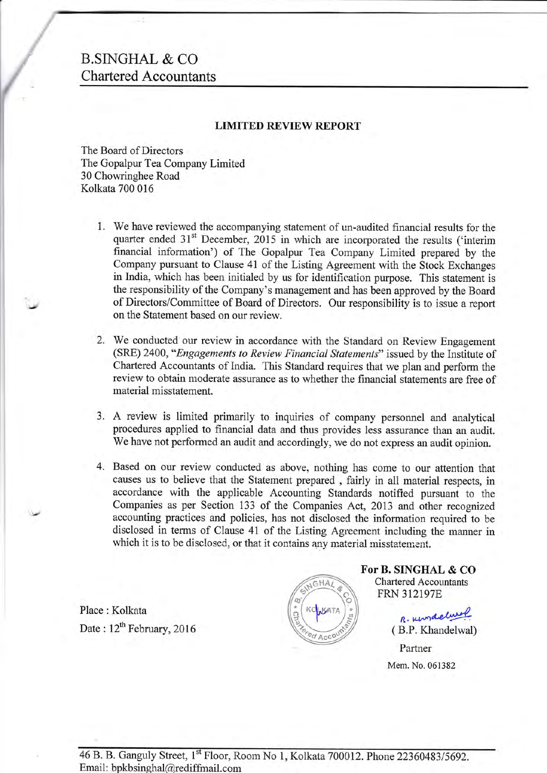# B.SNGHAL & CO Chartered Accountants

### LIMITED REVIEW REPORT

The Board of Directors The Gopalpur Tea Company Limited 30 Chowringhee Road Kolkata 700 016

i.

 $\ddot{\phantom{a}}$ 

- 1. We have reviewed the accompanying statement of un-audited financial results for the quarter ended  $31<sup>st</sup>$  December, 2015 in which are incorporated the results ('interim financial information') of The Gopalpur Tea Company Limited prepared by the Company pursuant to Clause 41 of the Listing Agreement with the Stock Exchanges in India, which has been initialed by us for identifioation purpose. This statement is the responsibility of the Company's management and has been approved by the Board of Directors/Committee of Board of Directors. Our responsibility is to issue a report on the Statement based on our review
- We conducted our review in accordance with the Standard on Review Engagement 2. (SRE) 2400, "Engagements to Review Financial Statements" issued by the Institute of Chartered Accountants of India. This Standard requires that we plan and perform the review to obtain moderate assurance as to whether the financial statements are free of material misstatement.
- 3. A review is limited primarily to inquiries of company personnel and analytical procedures applied to financial data and thus provides less assurance than an audit. We have not performed an audit and accordingly, we do not express an audit opinion.
- 4. Based on our review conducted as above, nothing has come to our attention that causes us to believe that the Statement prepared , fairly in all material respects, in accordance with the applicable Accounting Standards notified pursuant to the Companies as per Section 133 of the Companies Act, 2013 ard other recognized accounting practices and policies, has not disclosed the information required to be disclosed in terms of Clause 41 of the Listing Agreement including the manner in which it is to be disclosed, or that it contains any material misstatement.

Place : Kolkata Date:  $12^{th}$  February, 2016



For B. SINGHAL & CO Chartered Accountants FRN 312197E

> R. Kingdelwol ( B.P. Khandelwal)

Partner Mem. No. 061382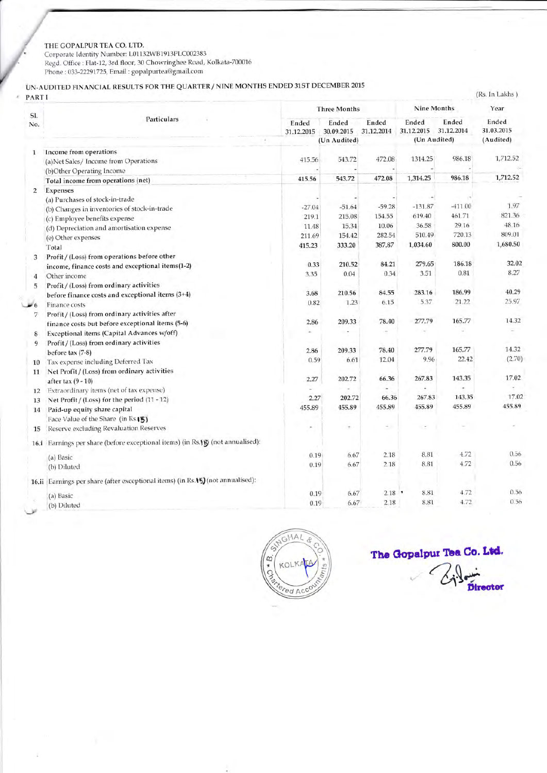### THE GOPALPUR TEA CO. LTD.

Corporate Identity Number: L01132WB1913PLC002383<br>
Regd. Office : Flat-12, 3rd floor, 30 Chowringhee Road, Kolkata-700016<br>
Phone : 033-22291725, Email : gopalpurtea@gmail.com

## UN-AUDITED FINANCIAL RESULTS FOR THE QUARTER / NINE MONTHS ENDED 31ST DECEMBER 2015

### $\epsilon$  PARTI

|                | Particulars                                                                     | <b>Three Months</b> |                     |                     | Nine Months              |                     | Year                |
|----------------|---------------------------------------------------------------------------------|---------------------|---------------------|---------------------|--------------------------|---------------------|---------------------|
| SI.<br>No.     |                                                                                 | Ended<br>31.12.2015 | Ended<br>30.09.2015 | Ended<br>31.12.2014 | Ended<br>31.12.2015      | Ended<br>31.12.2014 | Ended<br>31.03.2015 |
|                |                                                                                 |                     | (Un Audited)        |                     | (Un Audited)             |                     | (Audited)           |
| 1              | Income from operations                                                          |                     |                     |                     |                          |                     |                     |
|                | (a)Net Sales/Income from Operations                                             | 415.56              | 543.72              | 472.08              | 1314.25                  | 986.18              | 1,712.52            |
|                | (b)Other Operating Income                                                       |                     |                     |                     |                          |                     |                     |
|                | Total income from operations (net)                                              | 415.56              | 543.72              | 472.08              | 1,314.25                 | 986.18              | 1,712.52            |
| $\overline{2}$ | Expenses                                                                        |                     |                     |                     |                          |                     |                     |
|                | (a) Purchases of stock-in-trade                                                 |                     |                     |                     |                          |                     | 1.97                |
|                | (b) Changes in inventories of stock-in-trade                                    | $-27.04$            | $-51.64$            | $-59.28$            | $-131.87$                | $-411.00$           |                     |
|                | (c) Employee benefits expense                                                   | 219.1               | 215.08              | 154.55              | 619.40                   | 461.71              | 821.36              |
|                | (d) Depreciation and amortisation expense                                       | 11.48               | 15.34               | 10.06               | 36.58                    | 29.16               | 48.16               |
|                | (e) Other expenses                                                              | 211.69              | 154.42              | 282.54              | 510.49                   | 720.13              | 809.01              |
|                | Total                                                                           | 415.23              | 333.20              | 387.87              | 1,034.60                 | 800.00              | 1,680.50            |
| 3              | Profit / (Loss) from operations before other                                    |                     |                     |                     |                          |                     |                     |
|                | income, finance costs and exceptional items(1-2)                                | 0.33                | 210.52              | 84.21               | 279.65                   | 186.18              | 32.02               |
| 4              | Other income                                                                    | 3.35                | 0.04                | 0.34                | 3.51                     | 0.81                | 8.27                |
| 5              | Profit / (Loss) from ordinary activities                                        |                     |                     |                     |                          |                     |                     |
|                | before finance costs and exceptional items (3+4)                                | 3.68                | 210.56              | 84.55               | 283.16                   | 186.99              | 40.29               |
| $\mathbf{6}$   | Finance costs                                                                   | 0.82                | 1.23                | 6.15                | 5.37                     | 21.22               | 25.97               |
| 7              | Profit / (Loss) from ordinary activities after                                  |                     |                     |                     |                          |                     |                     |
|                | finance costs but before exceptional items (5-6)                                | 2.86                | 209.33              | 78.40               | 277.79                   | 165.77              | 14.32               |
| 8              | Exceptional items (Capital Advances w/off)                                      |                     |                     |                     |                          |                     |                     |
| 9              | Profit / (Loss) from ordinary activities                                        |                     |                     |                     |                          |                     |                     |
|                | before tax $(7-8)$                                                              | 2.86                | 209.33              | 78.40               | 277.79                   | 165.77              | 14.32               |
| 10             | Tax expense including Deferred Tax                                              | 0.59                | 6.61                | 12.04               | 9.96                     | 22.42               | (2.70)              |
| 11             | Net Profit / (Loss) from ordinary activities                                    |                     |                     |                     |                          |                     |                     |
|                | after tax $(9 - 10)$                                                            | 2.27                | 202.72              | 66.36               | 267.83                   | 143.35              | 17.02               |
| 12             | Extraordinary items (net of tax expense)                                        |                     |                     |                     |                          |                     |                     |
| 13             | Net Profit / (Loss) for the period (11 - 12)                                    | 2.27                | 202.72              | 66.36               | 267.83                   | 143.35              | 17.02               |
| 14             | Paid-up equity share capital                                                    | 455.89              | 455.89              | 455.89              | 455.89                   | 455.89              | 455.89              |
|                | Face Value of the Share (in Rs.15)                                              |                     |                     |                     |                          |                     |                     |
|                | Reserve excluding Revaluation Reserves                                          |                     | $\bullet$           | ÷.                  | $\overline{\phantom{a}}$ |                     |                     |
| 15             |                                                                                 |                     |                     |                     |                          |                     |                     |
| 16.1           | Earnings per share (before exceptional items) (in Rs.§§) (not annualised):      |                     |                     |                     |                          |                     |                     |
|                | (a) Basic                                                                       | 0.19                | 6.67                | 2.18                | 8.81                     | 4.72                | 0.56                |
|                | (b) Diluted                                                                     | 0.19                | 6.67                | 2.18                | 8.81                     | 4.72                | 0.56                |
|                | 16.ii Earnings per share (after exceptional items) (in Rs.15) (not annualised): |                     |                     |                     |                          |                     |                     |
|                |                                                                                 |                     |                     |                     |                          | 4.72                | 0.56                |
|                | (a) Basic                                                                       | 0.19                | 6.67                | 2.18                | 8.81                     | 4.72                | 0.56                |
|                | (b) Diluted                                                                     | 0.19                | 6.67                | 2.18                | 8.81                     |                     |                     |



The Gopalpur Tea Co. Ltd.

**Director** 

(Rs. In Lakhs)